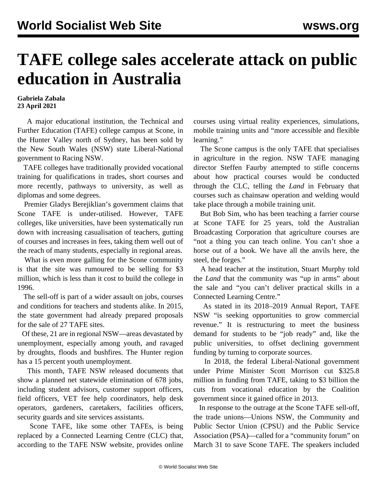## **TAFE college sales accelerate attack on public education in Australia**

## **Gabriela Zabala 23 April 2021**

 A major educational institution, the Technical and Further Education (TAFE) college campus at Scone, in the Hunter Valley north of Sydney, has been sold by the New South Wales (NSW) state Liberal-National government to Racing NSW.

 TAFE colleges have traditionally provided vocational training for qualifications in trades, short courses and more recently, pathways to university, as well as diplomas and some degrees.

 Premier Gladys Berejiklian's government claims that Scone TAFE is under-utilised. However, TAFE colleges, like universities, have been systematically run down with increasing casualisation of teachers, gutting of courses and increases in fees, taking them well out of the reach of many students, especially in regional areas.

 What is even more galling for the Scone community is that the site was rumoured to be selling for \$3 million, which is less than it cost to build the college in 1996.

 The sell-off is part of a wider assault on jobs, courses and conditions for teachers and students alike. In 2015, the state government had already prepared proposals for the sale of 27 TAFE sites.

 Of these, 21 are in regional NSW—areas devastated by unemployment, especially among youth, and ravaged by droughts, floods and bushfires. The Hunter region has a 15 percent youth unemployment.

 This month, TAFE NSW released documents that show a planned net statewide elimination of 678 jobs, including student advisors, customer support officers, field officers, VET fee help coordinators, help desk operators, gardeners, caretakers, facilities officers, security guards and site services assistants.

 Scone TAFE, like some other TAFEs, is being replaced by a Connected Learning Centre (CLC) that, according to the TAFE NSW website, provides online courses using virtual reality experiences, simulations, mobile training units and "more accessible and flexible learning."

 The Scone campus is the only TAFE that specialises in agriculture in the region. NSW TAFE managing director Steffen Faurby attempted to stifle concerns about how practical courses would be conducted through the CLC, telling the *Land* in February that courses such as chainsaw operation and welding would take place through a mobile training unit.

 But Bob Sim, who has been teaching a farrier course at Scone TAFE for 25 years, told the Australian Broadcasting Corporation that agriculture courses are "not a thing you can teach online. You can't shoe a horse out of a book. We have all the anvils here, the steel, the forges."

 A head teacher at the institution, Stuart Murphy told the *Land* that the community was "up in arms" about the sale and "you can't deliver practical skills in a Connected Learning Centre."

 As stated in its 2018–2019 Annual Report, TAFE NSW "is seeking opportunities to grow commercial revenue." It is restructuring to meet the business demand for students to be "job ready" and, like the public universities, to offset declining government funding by turning to corporate sources.

 In 2018, the federal Liberal-National government under Prime Minister Scott Morrison cut \$325.8 million in funding from TAFE, taking to \$3 billion the cuts from vocational education by the Coalition government since it gained office in 2013.

 In response to the outrage at the Scone TAFE sell-off, the trade unions—Unions NSW, the Community and Public Sector Union (CPSU) and the Public Service Association (PSA)—called for a "community forum" on March 31 to save Scone TAFE. The speakers included